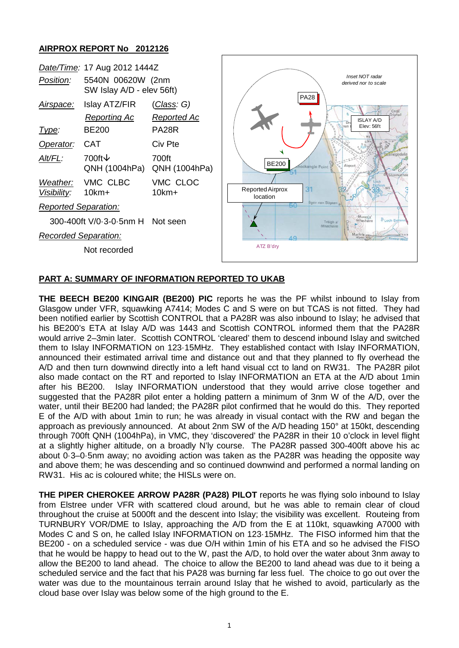## **AIRPROX REPORT No 2012126**

| Position:                                     | Date/Time: 17 Aug 2012 1444Z<br>5540N 00620W (2nm<br>SW Islay A/D - elev 56ft) |                                                                           | Inset NOT radar<br>derived nor to scale |                                                                                      |
|-----------------------------------------------|--------------------------------------------------------------------------------|---------------------------------------------------------------------------|-----------------------------------------|--------------------------------------------------------------------------------------|
| <u>Airspace:</u><br><u>Type:</u><br>Operator: | Islay ATZ/FIR<br><b>Reporting Ac</b><br><b>BE200</b><br><b>CAT</b>             | <u>(Class</u> : G)<br><b>Reported Ac</b><br>PA <sub>28</sub> R<br>Civ Pte |                                         | <b>PA28</b><br>Crigo<br><b>ISLAY A/D</b><br>Elev: 56ft<br>nan                        |
| Alt/FL:                                       | 700ft $\downarrow$<br>QNH (1004hPa)                                            | 700ft<br>QNH (1004hPa)                                                    | <b>BE200</b>                            | Airport<br>ockangle Point<br>Glenmad                                                 |
| Weather:<br>Visibility:                       | VMC CLBC<br>$10km+$                                                            | VMC CLOC<br>$10km+$                                                       | Reported Airprox<br>location            | 31                                                                                   |
| <b>Reported Separation:</b>                   |                                                                                |                                                                           | 50                                      | Sgeir nan Sligean                                                                    |
| 300-400ft V/0-3-0-5nm H Not seen              |                                                                                |                                                                           |                                         | Murania <sup>*</sup><br><b>D</b> Loch Eidhinn<br>Mhachaire<br>Traigh a'<br>Mhachaire |
| <b>Recorded Separation:</b>                   |                                                                                |                                                                           | $\Lambda$ O                             |                                                                                      |
|                                               | Not recorded                                                                   |                                                                           | ATZ B'dry                               |                                                                                      |

## **PART A: SUMMARY OF INFORMATION REPORTED TO UKAB**

**THE BEECH BE200 KINGAIR (BE200) PIC** reports he was the PF whilst inbound to Islay from Glasgow under VFR, squawking A7414; Modes C and S were on but TCAS is not fitted. They had been notified earlier by Scottish CONTROL that a PA28R was also inbound to Islay; he advised that his BE200's ETA at Islay A/D was 1443 and Scottish CONTROL informed them that the PA28R would arrive 2–3min later. Scottish CONTROL 'cleared' them to descend inbound Islay and switched them to Islay INFORMATION on 123·15MHz. They established contact with Islay INFORMATION, announced their estimated arrival time and distance out and that they planned to fly overhead the A/D and then turn downwind directly into a left hand visual cct to land on RW31. The PA28R pilot also made contact on the RT and reported to Islay INFORMATION an ETA at the A/D about 1min after his BE200. Islay INFORMATION understood that they would arrive close together and suggested that the PA28R pilot enter a holding pattern a minimum of 3nm W of the A/D, over the water, until their BE200 had landed; the PA28R pilot confirmed that he would do this. They reported E of the A/D with about 1min to run; he was already in visual contact with the RW and began the approach as previously announced. At about 2nm SW of the A/D heading 150° at 150kt, descending through 700ft QNH (1004hPa), in VMC, they 'discovered' the PA28R in their 10 o'clock in level flight at a slightly higher altitude, on a broadly N'ly course. The PA28R passed 300-400ft above his ac about 0·3–0·5nm away; no avoiding action was taken as the PA28R was heading the opposite way and above them; he was descending and so continued downwind and performed a normal landing on RW31. His ac is coloured white; the HISLs were on.

**THE PIPER CHEROKEE ARROW PA28R (PA28) PILOT** reports he was flying solo inbound to Islay from Elstree under VFR with scattered cloud around, but he was able to remain clear of cloud throughout the cruise at 5000ft and the descent into Islay; the visibility was excellent. Routeing from TURNBURY VOR/DME to Islay, approaching the A/D from the E at 110kt, squawking A7000 with Modes C and S on, he called Islay INFORMATION on 123·15MHz. The FISO informed him that the BE200 - on a scheduled service - was due O/H within 1min of his ETA and so he advised the FISO that he would be happy to head out to the W, past the A/D, to hold over the water about 3nm away to allow the BE200 to land ahead. The choice to allow the BE200 to land ahead was due to it being a scheduled service and the fact that his PA28 was burning far less fuel. The choice to go out over the water was due to the mountainous terrain around Islay that he wished to avoid, particularly as the cloud base over Islay was below some of the high ground to the E.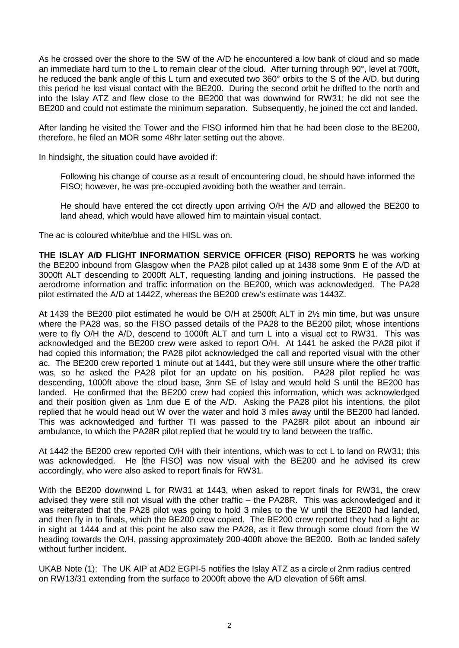As he crossed over the shore to the SW of the A/D he encountered a low bank of cloud and so made an immediate hard turn to the L to remain clear of the cloud. After turning through 90°, level at 700ft, he reduced the bank angle of this L turn and executed two 360° orbits to the S of the A/D, but during this period he lost visual contact with the BE200. During the second orbit he drifted to the north and into the Islay ATZ and flew close to the BE200 that was downwind for RW31; he did not see the BE200 and could not estimate the minimum separation. Subsequently, he joined the cct and landed.

After landing he visited the Tower and the FISO informed him that he had been close to the BE200, therefore, he filed an MOR some 48hr later setting out the above.

In hindsight, the situation could have avoided if:

Following his change of course as a result of encountering cloud, he should have informed the FISO; however, he was pre-occupied avoiding both the weather and terrain.

He should have entered the cct directly upon arriving O/H the A/D and allowed the BE200 to land ahead, which would have allowed him to maintain visual contact.

The ac is coloured white/blue and the HISL was on.

**THE ISLAY A/D FLIGHT INFORMATION SERVICE OFFICER (FISO) REPORTS** he was working the BE200 inbound from Glasgow when the PA28 pilot called up at 1438 some 9nm E of the A/D at 3000ft ALT descending to 2000ft ALT, requesting landing and joining instructions. He passed the aerodrome information and traffic information on the BE200, which was acknowledged. The PA28 pilot estimated the A/D at 1442Z, whereas the BE200 crew's estimate was 1443Z.

At 1439 the BE200 pilot estimated he would be O/H at 2500ft ALT in 2½ min time, but was unsure where the PA28 was, so the FISO passed details of the PA28 to the BE200 pilot, whose intentions were to fly O/H the A/D, descend to 1000ft ALT and turn L into a visual cct to RW31. This was acknowledged and the BE200 crew were asked to report O/H. At 1441 he asked the PA28 pilot if had copied this information; the PA28 pilot acknowledged the call and reported visual with the other ac. The BE200 crew reported 1 minute out at 1441, but they were still unsure where the other traffic was, so he asked the PA28 pilot for an update on his position. PA28 pilot replied he was descending, 1000ft above the cloud base, 3nm SE of Islay and would hold S until the BE200 has landed. He confirmed that the BE200 crew had copied this information, which was acknowledged and their position given as 1nm due E of the A/D. Asking the PA28 pilot his intentions, the pilot replied that he would head out W over the water and hold 3 miles away until the BE200 had landed. This was acknowledged and further TI was passed to the PA28R pilot about an inbound air ambulance, to which the PA28R pilot replied that he would try to land between the traffic.

At 1442 the BE200 crew reported O/H with their intentions, which was to cct L to land on RW31; this was acknowledged. He [the FISO] was now visual with the BE200 and he advised its crew accordingly, who were also asked to report finals for RW31.

With the BE200 downwind L for RW31 at 1443, when asked to report finals for RW31, the crew advised they were still not visual with the other traffic – the PA28R. This was acknowledged and it was reiterated that the PA28 pilot was going to hold 3 miles to the W until the BE200 had landed, and then fly in to finals, which the BE200 crew copied. The BE200 crew reported they had a light ac in sight at 1444 and at this point he also saw the PA28, as it flew through some cloud from the W heading towards the O/H, passing approximately 200-400ft above the BE200. Both ac landed safely without further incident.

UKAB Note (1): The UK AIP at AD2 EGPI-5 notifies the Islay ATZ as a circle of 2nm radius centred on RW13/31 extending from the surface to 2000ft above the A/D elevation of 56ft amsl.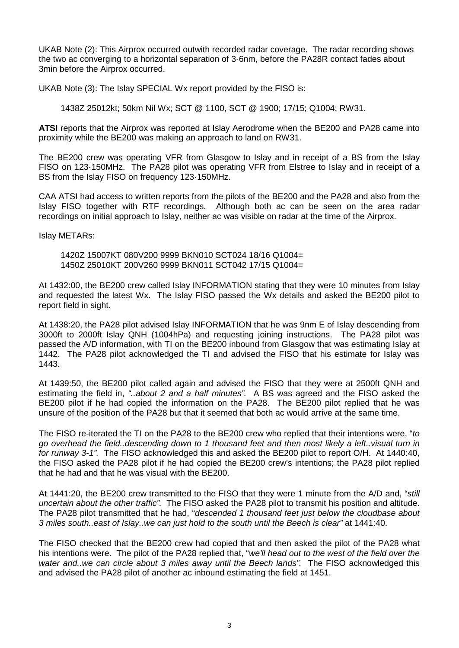UKAB Note (2): This Airprox occurred outwith recorded radar coverage. The radar recording shows the two ac converging to a horizontal separation of 3·6nm, before the PA28R contact fades about 3min before the Airprox occurred.

UKAB Note (3): The Islay SPECIAL Wx report provided by the FISO is:

1438Z 25012kt; 50km Nil Wx; SCT @ 1100, SCT @ 1900; 17/15; Q1004; RW31.

**ATSI** reports that the Airprox was reported at Islay Aerodrome when the BE200 and PA28 came into proximity while the BE200 was making an approach to land on RW31.

The BE200 crew was operating VFR from Glasgow to Islay and in receipt of a BS from the Islay FISO on 123·150MHz. The PA28 pilot was operating VFR from Elstree to Islay and in receipt of a BS from the Islay FISO on frequency 123·150MHz.

CAA ATSI had access to written reports from the pilots of the BE200 and the PA28 and also from the Islay FISO together with RTF recordings. Although both ac can be seen on the area radar recordings on initial approach to Islay, neither ac was visible on radar at the time of the Airprox.

Islay METARs:

1420Z 15007KT 080V200 9999 BKN010 SCT024 18/16 Q1004= 1450Z 25010KT 200V260 9999 BKN011 SCT042 17/15 Q1004=

At 1432:00, the BE200 crew called Islay INFORMATION stating that they were 10 minutes from Islay and requested the latest Wx. The Islay FISO passed the Wx details and asked the BE200 pilot to report field in sight.

At 1438:20, the PA28 pilot advised Islay INFORMATION that he was 9nm E of Islay descending from 3000ft to 2000ft Islay QNH (1004hPa) and requesting joining instructions. The PA28 pilot was passed the A/D information, with TI on the BE200 inbound from Glasgow that was estimating Islay at 1442. The PA28 pilot acknowledged the TI and advised the FISO that his estimate for Islay was 1443.

At 1439:50, the BE200 pilot called again and advised the FISO that they were at 2500ft QNH and estimating the field in, *"..about 2 and a half minutes".* A BS was agreed and the FISO asked the BE200 pilot if he had copied the information on the PA28. The BE200 pilot replied that he was unsure of the position of the PA28 but that it seemed that both ac would arrive at the same time.

The FISO re-iterated the TI on the PA28 to the BE200 crew who replied that their intentions were, "*to go overhead the field..descending down to 1 thousand feet and then most likely a left..visual turn in for runway 3-1".* The FISO acknowledged this and asked the BE200 pilot to report O/H. At 1440:40, the FISO asked the PA28 pilot if he had copied the BE200 crew's intentions; the PA28 pilot replied that he had and that he was visual with the BE200.

At 1441:20, the BE200 crew transmitted to the FISO that they were 1 minute from the A/D and, "*still uncertain about the other traffic".* The FISO asked the PA28 pilot to transmit his position and altitude. The PA28 pilot transmitted that he had, "*descended 1 thousand feet just below the cloudbase about 3 miles south..east of Islay..we can just hold to the south until the Beech is clear"* at 1441:40.

The FISO checked that the BE200 crew had copied that and then asked the pilot of the PA28 what his intentions were. The pilot of the PA28 replied that, "*we'll head out to the west of the field over the water and..we can circle about 3 miles away until the Beech lands".* The FISO acknowledged this and advised the PA28 pilot of another ac inbound estimating the field at 1451.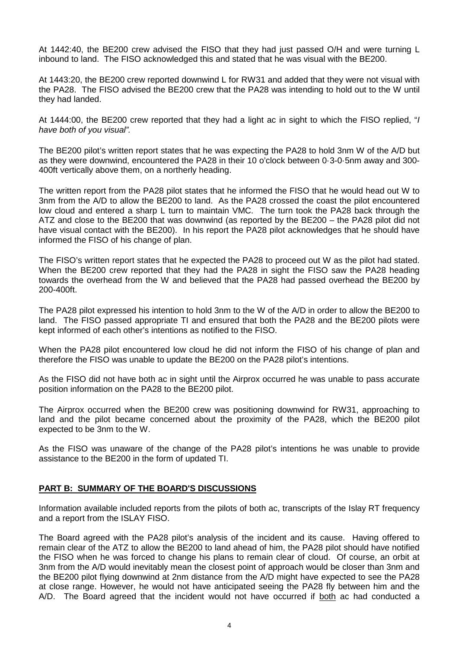At 1442:40, the BE200 crew advised the FISO that they had just passed O/H and were turning L inbound to land. The FISO acknowledged this and stated that he was visual with the BE200.

At 1443:20, the BE200 crew reported downwind L for RW31 and added that they were not visual with the PA28. The FISO advised the BE200 crew that the PA28 was intending to hold out to the W until they had landed.

At 1444:00, the BE200 crew reported that they had a light ac in sight to which the FISO replied, "*I have both of you visual".*

The BE200 pilot's written report states that he was expecting the PA28 to hold 3nm W of the A/D but as they were downwind, encountered the PA28 in their 10 o'clock between 0·3-0·5nm away and 300- 400ft vertically above them, on a northerly heading.

The written report from the PA28 pilot states that he informed the FISO that he would head out W to 3nm from the A/D to allow the BE200 to land. As the PA28 crossed the coast the pilot encountered low cloud and entered a sharp L turn to maintain VMC. The turn took the PA28 back through the ATZ and close to the BE200 that was downwind (as reported by the BE200 – the PA28 pilot did not have visual contact with the BE200). In his report the PA28 pilot acknowledges that he should have informed the FISO of his change of plan.

The FISO's written report states that he expected the PA28 to proceed out W as the pilot had stated. When the BE200 crew reported that they had the PA28 in sight the FISO saw the PA28 heading towards the overhead from the W and believed that the PA28 had passed overhead the BE200 by 200-400ft.

The PA28 pilot expressed his intention to hold 3nm to the W of the A/D in order to allow the BE200 to land. The FISO passed appropriate TI and ensured that both the PA28 and the BE200 pilots were kept informed of each other's intentions as notified to the FISO.

When the PA28 pilot encountered low cloud he did not inform the FISO of his change of plan and therefore the FISO was unable to update the BE200 on the PA28 pilot's intentions.

As the FISO did not have both ac in sight until the Airprox occurred he was unable to pass accurate position information on the PA28 to the BE200 pilot.

The Airprox occurred when the BE200 crew was positioning downwind for RW31, approaching to land and the pilot became concerned about the proximity of the PA28, which the BE200 pilot expected to be 3nm to the W.

As the FISO was unaware of the change of the PA28 pilot's intentions he was unable to provide assistance to the BE200 in the form of updated TI.

## **PART B: SUMMARY OF THE BOARD'S DISCUSSIONS**

Information available included reports from the pilots of both ac, transcripts of the Islay RT frequency and a report from the ISLAY FISO.

The Board agreed with the PA28 pilot's analysis of the incident and its cause. Having offered to remain clear of the ATZ to allow the BE200 to land ahead of him, the PA28 pilot should have notified the FISO when he was forced to change his plans to remain clear of cloud. Of course, an orbit at 3nm from the A/D would inevitably mean the closest point of approach would be closer than 3nm and the BE200 pilot flying downwind at 2nm distance from the A/D might have expected to see the PA28 at close range. However, he would not have anticipated seeing the PA28 fly between him and the A/D. The Board agreed that the incident would not have occurred if both ac had conducted a